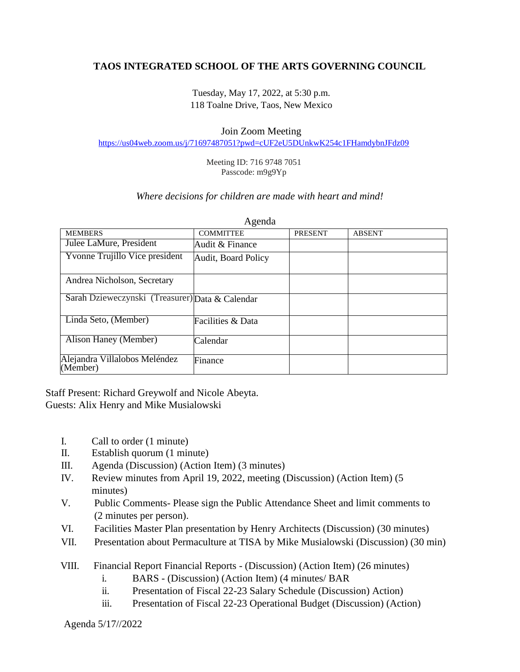## **TAOS INTEGRATED SCHOOL OF THE ARTS GOVERNING COUNCIL**

Tuesday, May 17, 2022, at 5:30 p.m. 118 Toalne Drive, Taos, New Mexico

## Join Zoom Meeting

<https://us04web.zoom.us/j/71697487051?pwd=cUF2eU5DUnkwK254c1FHamdybnJFdz09>

Meeting ID: 716 9748 7051 Passcode: m9g9Yp

## *Where decisions for children are made with heart and mind!*

| <b>MEMBERS</b>                                  | <b>COMMITTEE</b>    | <b>PRESENT</b> | <b>ABSENT</b> |
|-------------------------------------------------|---------------------|----------------|---------------|
| Julee LaMure, President                         | Audit & Finance     |                |               |
| Yvonne Trujillo Vice president                  | Audit, Board Policy |                |               |
|                                                 |                     |                |               |
| Andrea Nicholson, Secretary                     |                     |                |               |
| Sarah Dzieweczynski (Treasurer) Data & Calendar |                     |                |               |
| Linda Seto, (Member)                            | Facilities & Data   |                |               |
| Alison Haney (Member)                           | Calendar            |                |               |
| Alejandra Villalobos Meléndez<br>(Member)       | Finance             |                |               |

Agenda

Staff Present: Richard Greywolf and Nicole Abeyta. Guests: Alix Henry and Mike Musialowski

- I. Call to order (1 minute)
- II. Establish quorum (1 minute)
- III. Agenda (Discussion) (Action Item) (3 minutes)
- IV. Review minutes from April 19, 2022, meeting (Discussion) (Action Item) (5 minutes)
- V. Public Comments- Please sign the Public Attendance Sheet and limit comments to (2 minutes per person).
- VI. Facilities Master Plan presentation by Henry Architects (Discussion) (30 minutes)
- VII. Presentation about Permaculture at TISA by Mike Musialowski (Discussion) (30 min)
- VIII. Financial Report Financial Reports (Discussion) (Action Item) (26 minutes)
	- i. BARS (Discussion) (Action Item) (4 minutes/ BAR
	- ii. Presentation of Fiscal 22-23 Salary Schedule (Discussion) Action)
	- iii. Presentation of Fiscal 22-23 Operational Budget (Discussion) (Action)

Agenda 5/17//2022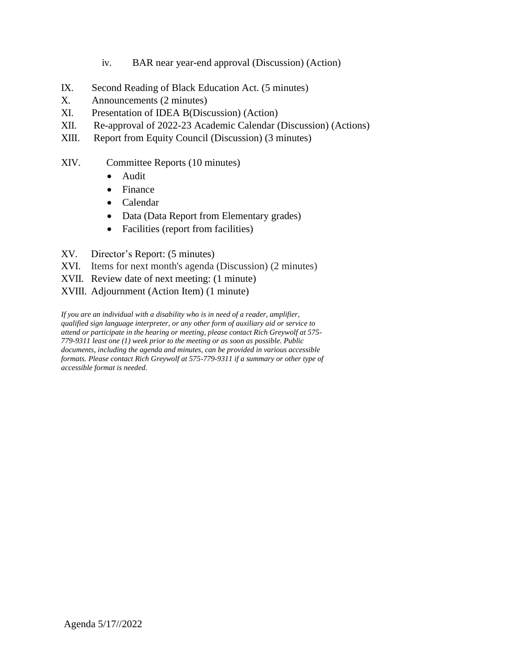- iv. BAR near year-end approval (Discussion) (Action)
- IX. Second Reading of Black Education Act. (5 minutes)
- X. Announcements (2 minutes)
- XI. Presentation of IDEA B(Discussion) (Action)
- XII. Re-approval of 2022-23 Academic Calendar (Discussion) (Actions)
- XIII. Report from Equity Council (Discussion) (3 minutes)
- XIV. Committee Reports (10 minutes)
	- Audit
	- Finance
	- Calendar
	- Data (Data Report from Elementary grades)
	- Facilities (report from facilities)
- XV. Director's Report: (5 minutes)
- XVI. Items for next month's agenda (Discussion) (2 minutes)
- XVII. Review date of next meeting: (1 minute)
- XVIII. Adjournment (Action Item) (1 minute)

*If you are an individual with a disability who is in need of a reader, amplifier, qualified sign language interpreter, or any other form of auxiliary aid or service to attend or participate in the hearing or meeting, please contact Rich Greywolf at 575- 779-9311 least one (1) week prior to the meeting or as soon as possible. Public documents, including the agenda and minutes, can be provided in various accessible formats. Please contact Rich Greywolf at 575-779-9311 if a summary or other type of accessible format is needed.*